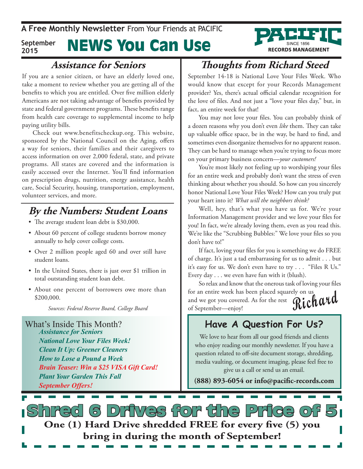**A Free Monthly Newsletter** From Your Friends at Pacific

#### News You Can Use **September 2015**

## **Assistance for Seniors**

If you are a senior citizen, or have an elderly loved one, take a moment to review whether you are getting all of the benefits to which you are entitled. Over five million elderly Americans are not taking advantage of benefits provided by state and federal government programs. These benefits range from health care coverage to supplemental income to help paying utility bills.

Check out www.benefitscheckup.org. This website, sponsored by the National Council on the Aging, offers a way for seniors, their families and their caregivers to access information on over 2,000 federal, state, and private programs. All states are covered and the information is easily accessed over the Internet. You'll find information on prescription drugs, nutrition, energy assistance, health care, Social Security, housing, transportation, employment, volunteer services, and more.

## **By the Numbers: Student Loans**

- The average student loan debt is \$30,000.
- About 60 percent of college students borrow money annually to help cover college costs.
- • Over 2 million people aged 60 and over still have student loans.
- In the United States, there is just over \$1 trillion in total outstanding student loan debt.
- • About one percent of borrowers owe more than \$200,000.

*Sources: Federal Reserve Board, College Board*

What's Inside This Month? *Assistance for Seniors National Love Your Files Week! Clean It Up: Greener Cleaners How to Lose a Pound a Week Brain Teaser: Win a \$25 VISA Gift Card! Plant Your Garden This Fall September Offers!*

# **Thoughts from Richard Steed**

**RECORDS MANAGEMENT** 

September 14-18 is National Love Your Files Week. Who would know that except for your Records Management provider? Yes, there's actual official calendar recognition for the love of files. And not just a "love your files day," but, in fact, an entire week for that!

You may not love your files. You can probably think of a dozen reasons why you don't even *like* them. They can take up valuable office space, be in the way, be hard to find, and sometimes even disorganize themselves for no apparent reason. They can be hard to manage when you're trying to focus more on your primary business concern—*your customers!*

You're most likely not feeling up to worshiping your files for an entire week and probably don't want the stress of even thinking about whether you should. So how can you sincerely honor National Love Your Files Week? How can you truly put your heart into it? *What will the neighbors think?*

Well, hey, that's what you have us for. We're your Information Management provider and we love your files for you! In fact, we're already loving them, even as you read this. We're like the "Scrubbing Bubbles:" We love your files so you don't have to!"

If fact, loving your files for you is something we do FREE of charge. It's just a tad embarrassing for us to admit . . . but it's easy for us. We don't even have to try . . . "Files R Us." Every day . . . we even have fun with it (blush).

**Richard** So relax and know that the onerous task of loving your files for an entire week has been placed squarely on us and we got you covered. As for the rest of September—enjoy!

## **Have A Question For Us?**

We love to hear from all our good friends and clients who enjoy reading our monthly newsletter. If you have a question related to off-site document storage, shredding, media vaulting, or document imaging, please feel free to give us a call or send us an email.

**(888) 893-6054 or info@pacific-records.com**

**6 Drives for the Price One (1) Hard Drive shredded FREE for every five (5) you bring in during the month of September!**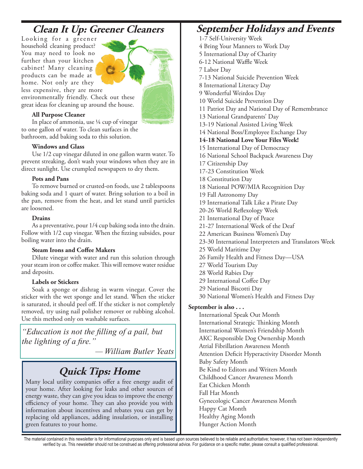## **Clean It Up: Greener Cleaners**

Loo king for a greener household cleaning product? You may need to look no further than your kitchen cabinet! Many cleaning products can be made at home. Not only are they less expensive, they are more environmentally friendly. Check out these great ideas for cleaning up around the house.



### **All Purpose Cleaner**

In place of ammonia, use ¼ cup of vinegar to one gallon of water. To clean surfaces in the bathroom, add baking soda to this solution.

### **Windows and Glass**

Use 1/2 cup vinegar diluted in one gallon warm water. To prevent streaking, don't wash your windows when they are in direct sunlight. Use crumpled newspapers to dry them.

### **Pots and Pans**

To remove burned or crusted-on foods, use 2 tablespoons baking soda and 1 quart of water. Bring solution to a boil in the pan, remove from the heat, and let stand until particles are loosened.

### **Drains**

As a preventative, pour 1/4 cup baking soda into the drain. Follow with 1/2 cup vinegar. When the fizzing subsides, pour boiling water into the drain.

### **Steam Irons and Coffee Makers**

Dilute vinegar with water and run this solution through your steam iron or coffee maker. This will remove water residue and deposits.

### **Labels or Stickers**

Soak a sponge or dishrag in warm vinegar. Cover the sticker with the wet sponge and let stand. When the sticker is saturated, it should peel off. If the sticker is not completely removed, try using nail polisher remover or rubbing alcohol. Use this method only on washable surfaces.

*"Education is not the filling of a pail, but the lighting of a fire."* 

*— William Butler Yeats*

## **Quick Tips: Home**

Many local utility companies offer a free energy audit of your home. After looking for leaks and other sources of energy waste, they can give you ideas to improve the energy efficiency of your home. They can also provide you with information about incentives and rebates you can get by replacing old appliances, adding insulation, or installing green features to your home.

### **September Holidays and Events**

1-7 Self-University Week

- 4 Bring Your Manners to Work Day
- 5 International Day of Charity
- 6-12 National Waffle Week
- 7 Labor Day
- 7-13 National Suicide Prevention Week
- 8 International Literacy Day
- 9 Wonderful Weirdos Day
- 10 World Suicide Prevention Day
- 11 Patriot Day and National Day of Remembrance
- 13 National Grandparents' Day
- 13-19 National Assisted Living Week
- 14 National Boss/Employee Exchange Day
- **14-18 National Love Your Files Week!**
- 15 International Day of Democracy
- 16 National School Backpack Awareness Day
- 17 Citizenship Day
- 17-23 Constitution Week
- 18 Constitution Day
- 18 National POW/MIA Recognition Day
- 19 Fall Astronomy Day
- 19 International Talk Like a Pirate Day
- 20-26 World Reflexology Week
- 21 International Day of Peace
- 21-27 International Week of the Deaf
- 22 American Business Women's Day
- 23-30 International Interpreters and Translators Week
- 25 World Maritime Day
- 26 Family Health and Fitness Day—USA
- 27 World Tourism Day
- 28 World Rabies Day

Hunger Action Month

- 29 International Coffee Day
- 29 National Biscotti Day
- 30 National Women's Health and Fitness Day

### **September is also . . .**

International Speak Out Month International Strategic Thinking Month International Women's Friendship Month AKC Responsible Dog Ownership Month Atrial Fibrillation Awareness Month Attention Deficit Hyperactivity Disorder Month Baby Safety Month Be Kind to Editors and Writers Month Childhood Cancer Awareness Month Eat Chicken Month Fall Hat Month Gynecologic Cancer Awareness Month Happy Cat Month Healthy Aging Month

The material contained in this newsletter is for informational purposes only and is based upon sources believed to be reliable and authoritative; however, it has not been independently verified by us. This newsletter should not be construed as offering professional advice. For guidance on a specific matter, please consult a qualified professional.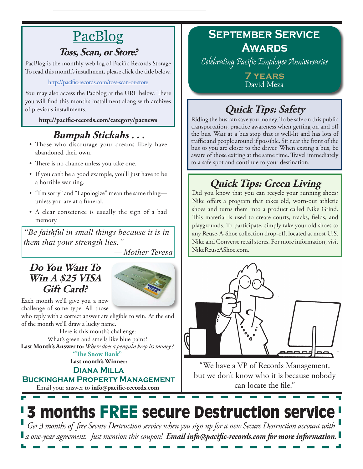# PacBlog

### **Toss, Scan, or Store?**

PacBlog is the monthly web log of Pacific Records Storage To read this month's installment, please click the title below.

### <http://pacific-records.com/toss-scan-or-store>

You may also access the PacBlog at the URL below. There you will find this month's installment along with archives of previous installments.

### **http://pacific-records.com/category/pacnews**

# **Bumpah Stickahs . . .**

- Those who discourage your dreams likely have abandoned their own.
- There is no chance unless you take one.
- If you can't be a good example, you'll just have to be a horrible warning.
- "I'm sorry" and "I apologize" mean the same thing unless you are at a funeral.
- A clear conscience is usually the sign of a bad memory.

*"Be faithful in small things because it is in them that your strength lies."* 

*— Mother Teresa*

### **Do You Want To Win A \$25 VISA Gift Card?**



Each month we'll give you a new challenge of some type. All those

who reply with a correct answer are eligible to win. At the end of the month we'll draw a lucky name.

Here is this month's challenge: What's green and smells like blue paint? **Last Month's Answer to:** *Where does a penguin keep its money ?* **"The Snow Bank"**

**Last month's Winner:**

**Diana Milla**

Email your answer to **info@pacific-records.com Buckingham Property Management**

## **September Service Awards**

Celebrating Pacific Employee Anniversaries

**7 years** David Meza

# **Quick Tips: Safety**

Riding the bus can save you money. To be safe on this public transportation, practice awareness when getting on and off the bus. Wait at a bus stop that is well-lit and has lots of traffic and people around if possible. Sit near the front of the bus so you are closer to the driver. When exiting a bus, be aware of those exiting at the same time. Travel immediately to a safe spot and continue to your destination.

# **Quick Tips: Green Living**

Did you know that you can recycle your running shoes? Nike offers a program that takes old, worn-out athletic shoes and turns them into a product called Nike Grind. This material is used to create courts, tracks, fields, and playgrounds. To participate, simply take your old shoes to any Reuse-A-Shoe collection drop-off, located at most U.S. Nike and Converse retail stores. For more information, visit NikeReuseAShoe.com.



"We have a VP of Records Management, but we don't know who it is because nobody can locate the file."

# 3 months FREE secure Destruction service

*Get 3 months of free Secure Destruction service when you sign up for a new Secure Destruction account with a one-year agreement. Just mention this coupon! Email info@pacific-records.com for more information.*